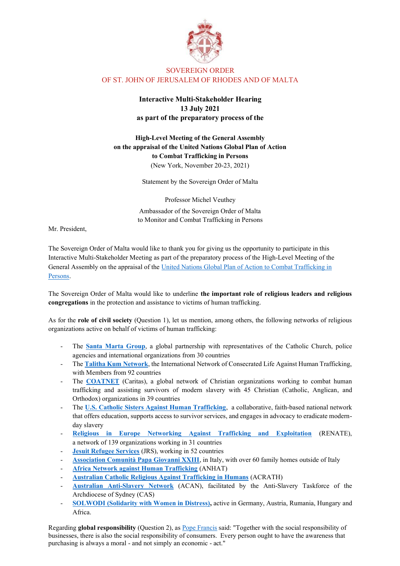

## SOVEREIGN ORDER OF ST. JOHN OF JERUSALEM OF RHODES AND OF MALTA

## **Interactive Multi-Stakeholder Hearing 13 July 2021 as part of the preparatory process of the**

**High-Level Meeting of the General Assembly on the appraisal of the United Nations Global Plan of Action to Combat Trafficking in Persons**  (New York, November 20-23, 2021)

Statement by the Sovereign Order of Malta

Professor Michel Veuthey Ambassador of the Sovereign Order of Malta to Monitor and Combat Trafficking in Persons

Mr. President,

The Sovereign Order of Malta would like to thank you for giving us the opportunity to participate in this Interactive Multi-Stakeholder Meeting as part of the preparatory process of the High-Level Meeting of the General Assembly on the appraisal of the [United Nations Global Plan of Action to Combat Trafficking in](https://www.unodc.org/documents/human-trafficking/United_Nations_Global_Plan_of_Action_to_Combat_Trafficking_in_Persons.pdf)  [Persons.](https://www.unodc.org/documents/human-trafficking/United_Nations_Global_Plan_of_Action_to_Combat_Trafficking_in_Persons.pdf)

The Sovereign Order of Malta would like to underline **the important role of religious leaders and religious congregations** in the protection and assistance to victims of human trafficking.

As for the **role of civil society** (Question 1), let us mention, among others, the following networks of religious organizations active on behalf of victims of human trafficking:

- The **[Santa Marta Group](https://santamartagroup.com/)**, a global partnership with representatives of the Catholic Church, police agencies and international organizations from 30 countries
- The **[Talitha Kum Network](https://www.talithakum.info/en)**, the International Network of Consecrated Life Against Human Trafficking, with Members from 92 countries
- The **[COATNET](https://www.coatnet.org/)** (Caritas), a global network of Christian organizations working to combat human trafficking and assisting survivors of modern slavery with 45 Christian (Catholic, Anglican, and Orthodox) organizations in 39 countries
- The **U.S. [Catholic Sisters Against Human Trafficking](https://sistersagainsttrafficking.org/)**, a collaborative, faith-based national network that offers education, supports access to survivor services, and engages in advocacy to eradicate modernday slavery
- **[Religious in Europe Networking Against Trafficking and Exploitation](https://www.renate-europe.net/about-us/)** (RENATE), a network of 139 organizations working in 31 countries
- **[Jesuit Refugee Services](https://jrs.net/en/about-us/)** (JRS), working in 52 countries
- [Association Comunità Papa Giovanni XXIII](https://www.apg23.org/en/), in Italy, with over 60 family homes outside of Italy
- **[Africa Network against Human Trafficking](https://www.facebook.com/anahtAfrica/)** (ANHAT)
- **[Australian Catholic Religious Against Trafficking in Humans](https://acrath.org.au/)** (ACRATH)
- **[Australian Anti-Slavery Network](https://www.acan.org.au/)** (ACAN), facilitated by the Anti-Slavery Taskforce of the Archdiocese of Sydney (CAS)
- **[SOLWODI \(Solidarity with Women in Distress\),](https://www.solwodi.de/seite/495841/solwogidi.html)** active in Germany, Austria, Rumania, Hungary and Africa.

Regarding **global responsibility** (Question 2), as [Pope Francis](https://www.vatican.va/content/francesco/en/messages/peace/documents/papa-francesco_20141208_messaggio-xlviii-giornata-mondiale-pace-2015.html) said: "Together with the social responsibility of businesses, there is also the social responsibility of consumers. Every person ought to have the awareness that purchasing is always a moral - and not simply an economic - act."